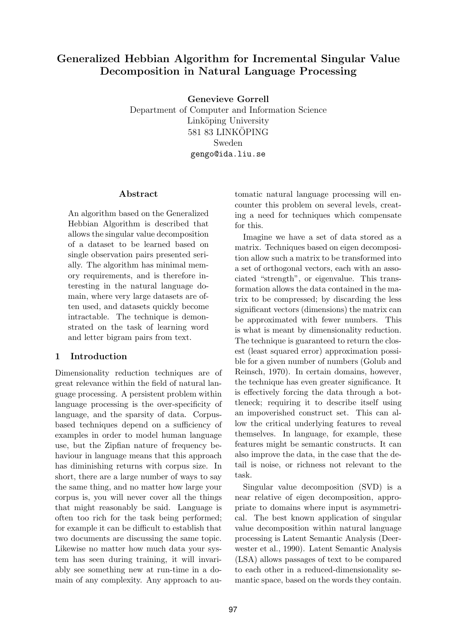# Generalized Hebbian Algorithm for Incremental Singular Value Decomposition in Natural Language Processing

Genevieve Gorrell Department of Computer and Information Science Linköping University 581 83 LINKÖPING Sweden gengo@ida.liu.se

### Abstract

An algorithm based on the Generalized Hebbian Algorithm is described that allows the singular value decomposition of a dataset to be learned based on single observation pairs presented serially. The algorithm has minimal memory requirements, and is therefore interesting in the natural language domain, where very large datasets are often used, and datasets quickly become intractable. The technique is demonstrated on the task of learning word and letter bigram pairs from text.

### 1 Introduction

Dimensionality reduction techniques are of great relevance within the field of natural language processing. A persistent problem within language processing is the over-specificity of language, and the sparsity of data. Corpusbased techniques depend on a sufficiency of examples in order to model human language use, but the Zipfian nature of frequency behaviour in language means that this approach has diminishing returns with corpus size. In short, there are a large number of ways to say the same thing, and no matter how large your corpus is, you will never cover all the things that might reasonably be said. Language is often too rich for the task being performed; for example it can be difficult to establish that two documents are discussing the same topic. Likewise no matter how much data your system has seen during training, it will invariably see something new at run-time in a domain of any complexity. Any approach to au-

tomatic natural language processing will encounter this problem on several levels, creating a need for techniques which compensate for this.

Imagine we have a set of data stored as a matrix. Techniques based on eigen decomposition allow such a matrix to be transformed into a set of orthogonal vectors, each with an associated "strength", or eigenvalue. This transformation allows the data contained in the matrix to be compressed; by discarding the less significant vectors (dimensions) the matrix can be approximated with fewer numbers. This is what is meant by dimensionality reduction. The technique is guaranteed to return the closest (least squared error) approximation possible for a given number of numbers (Golub and Reinsch, 1970). In certain domains, however, the technique has even greater significance. It is effectively forcing the data through a bottleneck; requiring it to describe itself using an impoverished construct set. This can allow the critical underlying features to reveal themselves. In language, for example, these features might be semantic constructs. It can also improve the data, in the case that the detail is noise, or richness not relevant to the task.

Singular value decomposition (SVD) is a near relative of eigen decomposition, appropriate to domains where input is asymmetrical. The best known application of singular value decomposition within natural language processing is Latent Semantic Analysis (Deerwester et al., 1990). Latent Semantic Analysis (LSA) allows passages of text to be compared to each other in a reduced-dimensionality semantic space, based on the words they contain.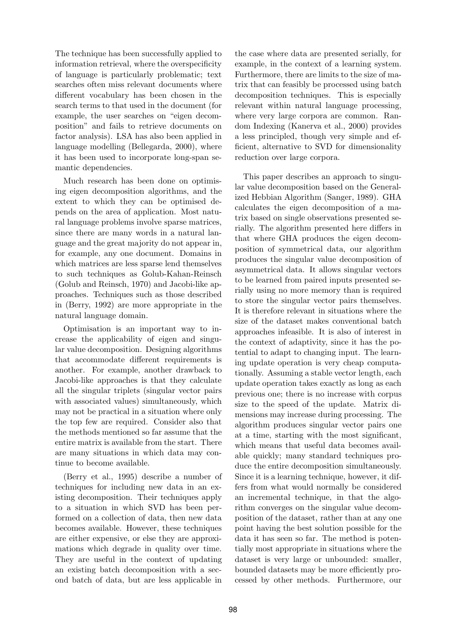The technique has been successfully applied to information retrieval, where the overspecificity of language is particularly problematic; text searches often miss relevant documents where different vocabulary has been chosen in the search terms to that used in the document (for example, the user searches on "eigen decomposition" and fails to retrieve documents on factor analysis). LSA has also been applied in language modelling (Bellegarda, 2000), where it has been used to incorporate long-span semantic dependencies.

Much research has been done on optimising eigen decomposition algorithms, and the extent to which they can be optimised depends on the area of application. Most natural language problems involve sparse matrices, since there are many words in a natural language and the great majority do not appear in, for example, any one document. Domains in which matrices are less sparse lend themselves to such techniques as Golub-Kahan-Reinsch (Golub and Reinsch, 1970) and Jacobi-like approaches. Techniques such as those described in (Berry, 1992) are more appropriate in the natural language domain.

Optimisation is an important way to increase the applicability of eigen and singular value decomposition. Designing algorithms that accommodate different requirements is another. For example, another drawback to Jacobi-like approaches is that they calculate all the singular triplets (singular vector pairs with associated values) simultaneously, which may not be practical in a situation where only the top few are required. Consider also that the methods mentioned so far assume that the entire matrix is available from the start. There are many situations in which data may continue to become available.

(Berry et al., 1995) describe a number of techniques for including new data in an existing decomposition. Their techniques apply to a situation in which SVD has been performed on a collection of data, then new data becomes available. However, these techniques are either expensive, or else they are approximations which degrade in quality over time. They are useful in the context of updating an existing batch decomposition with a second batch of data, but are less applicable in

the case where data are presented serially, for example, in the context of a learning system. Furthermore, there are limits to the size of matrix that can feasibly be processed using batch decomposition techniques. This is especially relevant within natural language processing, where very large corpora are common. Random Indexing (Kanerva et al., 2000) provides a less principled, though very simple and efficient, alternative to SVD for dimensionality reduction over large corpora.

This paper describes an approach to singular value decomposition based on the Generalized Hebbian Algorithm (Sanger, 1989). GHA calculates the eigen decomposition of a matrix based on single observations presented serially. The algorithm presented here differs in that where GHA produces the eigen decomposition of symmetrical data, our algorithm produces the singular value decomposition of asymmetrical data. It allows singular vectors to be learned from paired inputs presented serially using no more memory than is required to store the singular vector pairs themselves. It is therefore relevant in situations where the size of the dataset makes conventional batch approaches infeasible. It is also of interest in the context of adaptivity, since it has the potential to adapt to changing input. The learning update operation is very cheap computationally. Assuming a stable vector length, each update operation takes exactly as long as each previous one; there is no increase with corpus size to the speed of the update. Matrix dimensions may increase during processing. The algorithm produces singular vector pairs one at a time, starting with the most significant, which means that useful data becomes available quickly; many standard techniques produce the entire decomposition simultaneously. Since it is a learning technique, however, it differs from what would normally be considered an incremental technique, in that the algorithm converges on the singular value decomposition of the dataset, rather than at any one point having the best solution possible for the data it has seen so far. The method is potentially most appropriate in situations where the dataset is very large or unbounded: smaller, bounded datasets may be more efficiently processed by other methods. Furthermore, our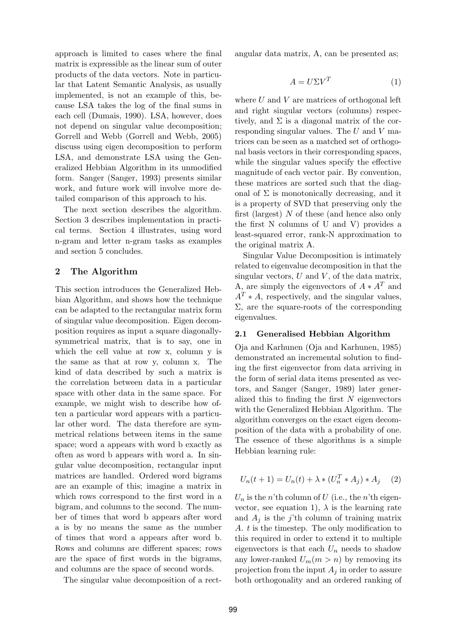approach is limited to cases where the final matrix is expressible as the linear sum of outer products of the data vectors. Note in particular that Latent Semantic Analysis, as usually implemented, is not an example of this, because LSA takes the log of the final sums in each cell (Dumais, 1990). LSA, however, does not depend on singular value decomposition; Gorrell and Webb (Gorrell and Webb, 2005) discuss using eigen decomposition to perform LSA, and demonstrate LSA using the Generalized Hebbian Algorithm in its unmodified form. Sanger (Sanger, 1993) presents similar work, and future work will involve more detailed comparison of this approach to his.

The next section describes the algorithm. Section 3 describes implementation in practical terms. Section 4 illustrates, using word n-gram and letter n-gram tasks as examples and section 5 concludes.

### 2 The Algorithm

This section introduces the Generalized Hebbian Algorithm, and shows how the technique can be adapted to the rectangular matrix form of singular value decomposition. Eigen decomposition requires as input a square diagonallysymmetrical matrix, that is to say, one in which the cell value at row x, column y is the same as that at row y, column x. The kind of data described by such a matrix is the correlation between data in a particular space with other data in the same space. For example, we might wish to describe how often a particular word appears with a particular other word. The data therefore are symmetrical relations between items in the same space; word a appears with word b exactly as often as word b appears with word a. In singular value decomposition, rectangular input matrices are handled. Ordered word bigrams are an example of this; imagine a matrix in which rows correspond to the first word in a bigram, and columns to the second. The number of times that word b appears after word a is by no means the same as the number of times that word a appears after word b. Rows and columns are different spaces; rows are the space of first words in the bigrams, and columns are the space of second words.

The singular value decomposition of a rect-

angular data matrix, A, can be presented as;

$$
A = U\Sigma V^T \tag{1}
$$

where  $U$  and  $V$  are matrices of orthogonal left and right singular vectors (columns) respectively, and  $\Sigma$  is a diagonal matrix of the corresponding singular values. The  $U$  and  $V$  matrices can be seen as a matched set of orthogonal basis vectors in their corresponding spaces, while the singular values specify the effective magnitude of each vector pair. By convention, these matrices are sorted such that the diagonal of  $\Sigma$  is monotonically decreasing, and it is a property of SVD that preserving only the first (largest)  $N$  of these (and hence also only the first N columns of U and V) provides a least-squared error, rank-N approximation to the original matrix A.

Singular Value Decomposition is intimately related to eigenvalue decomposition in that the singular vectors,  $U$  and  $V$ , of the data matrix, A, are simply the eigenvectors of  $A * A<sup>T</sup>$  and  $A<sup>T</sup> * A$ , respectively, and the singular values,  $\Sigma$ , are the square-roots of the corresponding eigenvalues.

#### 2.1 Generalised Hebbian Algorithm

Oja and Karhunen (Oja and Karhunen, 1985) demonstrated an incremental solution to finding the first eigenvector from data arriving in the form of serial data items presented as vectors, and Sanger (Sanger, 1989) later generalized this to finding the first  $N$  eigenvectors with the Generalized Hebbian Algorithm. The algorithm converges on the exact eigen decomposition of the data with a probability of one. The essence of these algorithms is a simple Hebbian learning rule:

$$
U_n(t+1) = U_n(t) + \lambda * (U_n^T * A_j) * A_j \quad (2)
$$

 $U_n$  is the n'th column of U (i.e., the n'th eigenvector, see equation 1),  $\lambda$  is the learning rate and  $A_i$  is the j'th column of training matrix A. t is the timestep. The only modification to this required in order to extend it to multiple eigenvectors is that each  $U_n$  needs to shadow any lower-ranked  $U_m(m > n)$  by removing its projection from the input  $A_i$  in order to assure both orthogonality and an ordered ranking of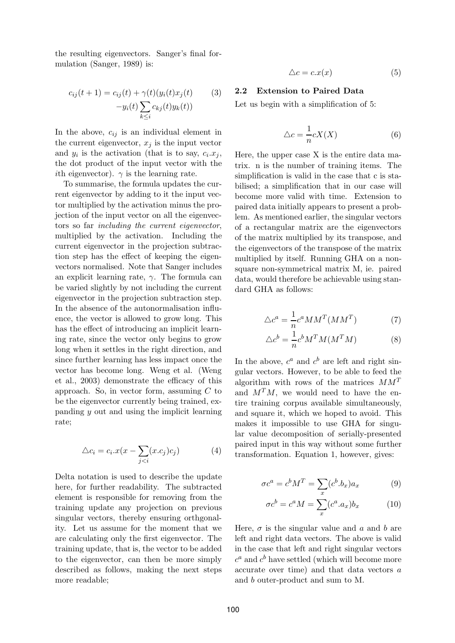the resulting eigenvectors. Sanger's final formulation (Sanger, 1989) is:

$$
c_{ij}(t+1) = c_{ij}(t) + \gamma(t)(y_i(t)x_j(t)
$$
\n
$$
-y_i(t)\sum_{k\leq i} c_{kj}(t)y_k(t)
$$
\n(3)

In the above,  $c_{ij}$  is an individual element in the current eigenvector,  $x_i$  is the input vector and  $y_i$  is the activation (that is to say,  $c_i.x_j$ , the dot product of the input vector with the *i*th eigenvector).  $\gamma$  is the learning rate.

To summarise, the formula updates the current eigenvector by adding to it the input vector multiplied by the activation minus the projection of the input vector on all the eigenvectors so far including the current eigenvector, multiplied by the activation. Including the current eigenvector in the projection subtraction step has the effect of keeping the eigenvectors normalised. Note that Sanger includes an explicit learning rate,  $\gamma$ . The formula can be varied slightly by not including the current eigenvector in the projection subtraction step. In the absence of the autonormalisation influence, the vector is allowed to grow long. This has the effect of introducing an implicit learning rate, since the vector only begins to grow long when it settles in the right direction, and since further learning has less impact once the vector has become long. Weng et al. (Weng et al., 2003) demonstrate the efficacy of this approach. So, in vector form, assuming  $C$  to be the eigenvector currently being trained, expanding y out and using the implicit learning rate;

$$
\triangle c_i = c_i \cdot x(x - \sum_{j < i} (x \cdot c_j) c_j) \tag{4}
$$

Delta notation is used to describe the update here, for further readability. The subtracted element is responsible for removing from the training update any projection on previous singular vectors, thereby ensuring orthgonality. Let us assume for the moment that we are calculating only the first eigenvector. The training update, that is, the vector to be added to the eigenvector, can then be more simply described as follows, making the next steps more readable;

$$
\triangle c = c \cdot x(x) \tag{5}
$$

#### 2.2 Extension to Paired Data

Let us begin with a simplification of 5:

$$
\triangle c = \frac{1}{n} cX(X) \tag{6}
$$

Here, the upper case X is the entire data matrix. n is the number of training items. The simplification is valid in the case that c is stabilised; a simplification that in our case will become more valid with time. Extension to paired data initially appears to present a problem. As mentioned earlier, the singular vectors of a rectangular matrix are the eigenvectors of the matrix multiplied by its transpose, and the eigenvectors of the transpose of the matrix multiplied by itself. Running GHA on a nonsquare non-symmetrical matrix M, ie. paired data, would therefore be achievable using standard GHA as follows:

$$
\triangle c^a = \frac{1}{n} c^a M M^T (M M^T) \tag{7}
$$

$$
\Delta c^b = \frac{1}{n} c^b M^T M (M^T M) \tag{8}
$$

In the above,  $c^a$  and  $c^b$  are left and right singular vectors. However, to be able to feed the algorithm with rows of the matrices  $MM^T$ and  $M^{T}M$ , we would need to have the entire training corpus available simultaneously, and square it, which we hoped to avoid. This makes it impossible to use GHA for singular value decomposition of serially-presented paired input in this way without some further transformation. Equation 1, however, gives:

$$
\sigma c^a = c^b M^T = \sum_x (c^b.b_x)a_x \tag{9}
$$

$$
\sigma c^b = c^a M = \sum_x (c^a . a_x) b_x \tag{10}
$$

Here,  $\sigma$  is the singular value and a and b are left and right data vectors. The above is valid in the case that left and right singular vectors  $c^a$  and  $c^b$  have settled (which will become more accurate over time) and that data vectors a and b outer-product and sum to M.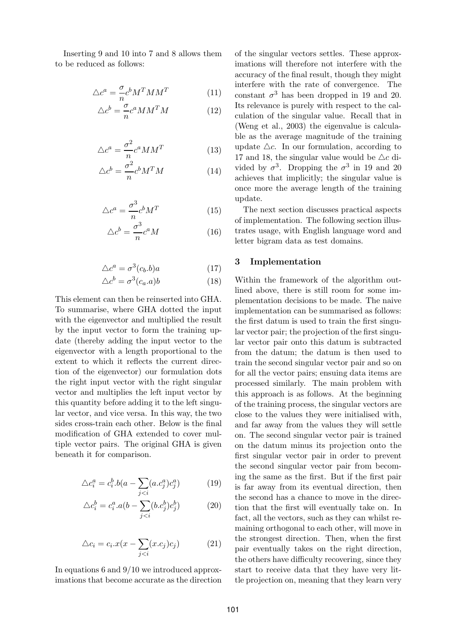Inserting 9 and 10 into 7 and 8 allows them to be reduced as follows:

$$
\triangle c^a = \frac{\sigma}{n} c^b M^T M M^T \tag{11}
$$

$$
\Delta c^b = \frac{\sigma}{n} c^a M M^T M \tag{12}
$$

$$
\Delta c^a = \frac{\sigma^2}{n} c^a M M^T \tag{13}
$$

$$
\Delta c^b = \frac{\sigma^2}{n} c^b M^T M \tag{14}
$$

$$
\triangle c^a = \frac{\sigma^3}{n} c^b M^T \tag{15}
$$

$$
\Delta c^b = \frac{\sigma^3}{n} c^a M \tag{16}
$$

$$
\triangle c^a = \sigma^3(c_b.b)a \tag{17}
$$

$$
\triangle c^b = \sigma^3(c_a.a)b \tag{18}
$$

This element can then be reinserted into GHA. To summarise, where GHA dotted the input with the eigenvector and multiplied the result by the input vector to form the training update (thereby adding the input vector to the eigenvector with a length proportional to the extent to which it reflects the current direction of the eigenvector) our formulation dots the right input vector with the right singular vector and multiplies the left input vector by this quantity before adding it to the left singular vector, and vice versa. In this way, the two sides cross-train each other. Below is the final modification of GHA extended to cover multiple vector pairs. The original GHA is given beneath it for comparison.

$$
\triangle c_i^a = c_i^b \cdot b(a - \sum_{j < i} (a \cdot c_j^a) c_j^a) \tag{19}
$$

$$
\triangle c_i^b = c_i^a \cdot a(b - \sum_{j < i} (b \cdot c_j^b) c_j^b) \tag{20}
$$

$$
\triangle c_i = c_i \cdot x(x - \sum_{j < i} (x \cdot c_j) c_j) \tag{21}
$$

In equations 6 and 9/10 we introduced approximations that become accurate as the direction of the singular vectors settles. These approximations will therefore not interfere with the accuracy of the final result, though they might interfere with the rate of convergence. The constant  $\sigma^3$  has been dropped in 19 and 20. Its relevance is purely with respect to the calculation of the singular value. Recall that in (Weng et al., 2003) the eigenvalue is calculable as the average magnitude of the training update  $\triangle c$ . In our formulation, according to 17 and 18, the singular value would be  $\triangle c$  divided by  $\sigma^3$ . Dropping the  $\sigma^3$  in 19 and 20 achieves that implicitly; the singular value is once more the average length of the training update.

The next section discusses practical aspects of implementation. The following section illustrates usage, with English language word and letter bigram data as test domains.

#### 3 Implementation

Within the framework of the algorithm outlined above, there is still room for some implementation decisions to be made. The naive implementation can be summarised as follows: the first datum is used to train the first singular vector pair; the projection of the first singular vector pair onto this datum is subtracted from the datum; the datum is then used to train the second singular vector pair and so on for all the vector pairs; ensuing data items are processed similarly. The main problem with this approach is as follows. At the beginning of the training process, the singular vectors are close to the values they were initialised with, and far away from the values they will settle on. The second singular vector pair is trained on the datum minus its projection onto the first singular vector pair in order to prevent the second singular vector pair from becoming the same as the first. But if the first pair is far away from its eventual direction, then the second has a chance to move in the direction that the first will eventually take on. In fact, all the vectors, such as they can whilst remaining orthogonal to each other, will move in the strongest direction. Then, when the first pair eventually takes on the right direction, the others have difficulty recovering, since they start to receive data that they have very little projection on, meaning that they learn very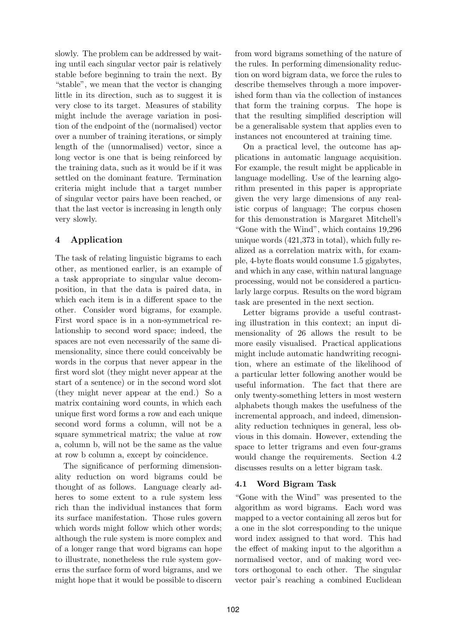slowly. The problem can be addressed by waiting until each singular vector pair is relatively stable before beginning to train the next. By "stable", we mean that the vector is changing little in its direction, such as to suggest it is very close to its target. Measures of stability might include the average variation in position of the endpoint of the (normalised) vector over a number of training iterations, or simply length of the (unnormalised) vector, since a long vector is one that is being reinforced by the training data, such as it would be if it was settled on the dominant feature. Termination criteria might include that a target number of singular vector pairs have been reached, or that the last vector is increasing in length only very slowly.

# 4 Application

The task of relating linguistic bigrams to each other, as mentioned earlier, is an example of a task appropriate to singular value decomposition, in that the data is paired data, in which each item is in a different space to the other. Consider word bigrams, for example. First word space is in a non-symmetrical relationship to second word space; indeed, the spaces are not even necessarily of the same dimensionality, since there could conceivably be words in the corpus that never appear in the first word slot (they might never appear at the start of a sentence) or in the second word slot (they might never appear at the end.) So a matrix containing word counts, in which each unique first word forms a row and each unique second word forms a column, will not be a square symmetrical matrix; the value at row a, column b, will not be the same as the value at row b column a, except by coincidence.

The significance of performing dimensionality reduction on word bigrams could be thought of as follows. Language clearly adheres to some extent to a rule system less rich than the individual instances that form its surface manifestation. Those rules govern which words might follow which other words; although the rule system is more complex and of a longer range that word bigrams can hope to illustrate, nonetheless the rule system governs the surface form of word bigrams, and we might hope that it would be possible to discern

from word bigrams something of the nature of the rules. In performing dimensionality reduction on word bigram data, we force the rules to describe themselves through a more impoverished form than via the collection of instances that form the training corpus. The hope is that the resulting simplified description will be a generalisable system that applies even to instances not encountered at training time.

On a practical level, the outcome has applications in automatic language acquisition. For example, the result might be applicable in language modelling. Use of the learning algorithm presented in this paper is appropriate given the very large dimensions of any realistic corpus of language; The corpus chosen for this demonstration is Margaret Mitchell's "Gone with the Wind", which contains 19,296 unique words (421,373 in total), which fully realized as a correlation matrix with, for example, 4-byte floats would consume 1.5 gigabytes, and which in any case, within natural language processing, would not be considered a particularly large corpus. Results on the word bigram task are presented in the next section.

Letter bigrams provide a useful contrasting illustration in this context; an input dimensionality of 26 allows the result to be more easily visualised. Practical applications might include automatic handwriting recognition, where an estimate of the likelihood of a particular letter following another would be useful information. The fact that there are only twenty-something letters in most western alphabets though makes the usefulness of the incremental approach, and indeed, dimensionality reduction techniques in general, less obvious in this domain. However, extending the space to letter trigrams and even four-grams would change the requirements. Section 4.2 discusses results on a letter bigram task.

# 4.1 Word Bigram Task

"Gone with the Wind" was presented to the algorithm as word bigrams. Each word was mapped to a vector containing all zeros but for a one in the slot corresponding to the unique word index assigned to that word. This had the effect of making input to the algorithm a normalised vector, and of making word vectors orthogonal to each other. The singular vector pair's reaching a combined Euclidean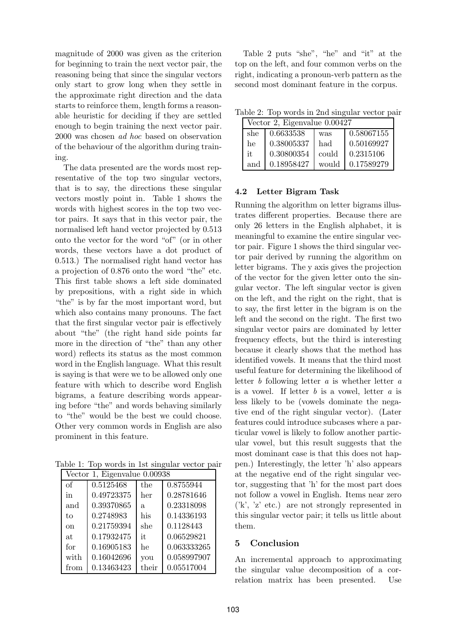magnitude of 2000 was given as the criterion for beginning to train the next vector pair, the reasoning being that since the singular vectors only start to grow long when they settle in the approximate right direction and the data starts to reinforce them, length forms a reasonable heuristic for deciding if they are settled enough to begin training the next vector pair. 2000 was chosen ad hoc based on observation of the behaviour of the algorithm during training.

The data presented are the words most representative of the top two singular vectors, that is to say, the directions these singular vectors mostly point in. Table 1 shows the words with highest scores in the top two vector pairs. It says that in this vector pair, the normalised left hand vector projected by 0.513 onto the vector for the word "of" (or in other words, these vectors have a dot product of 0.513.) The normalised right hand vector has a projection of 0.876 onto the word "the" etc. This first table shows a left side dominated by prepositions, with a right side in which "the" is by far the most important word, but which also contains many pronouns. The fact that the first singular vector pair is effectively about "the" (the right hand side points far more in the direction of "the" than any other word) reflects its status as the most common word in the English language. What this result is saying is that were we to be allowed only one feature with which to describe word English bigrams, a feature describing words appearing before "the" and words behaving similarly to "the" would be the best we could choose. Other very common words in English are also prominent in this feature.

Table 1: Top words in 1st singular vector pair

| Vector 1, Eigenvalue 0.00938 |            |       |             |  |  |
|------------------------------|------------|-------|-------------|--|--|
| of                           | 0.5125468  | the   | 0.8755944   |  |  |
| in                           | 0.49723375 | her   | 0.28781646  |  |  |
| and                          | 0.39370865 | a.    | 0.23318098  |  |  |
| to                           | 0.2748983  | his   | 0.14336193  |  |  |
| $\alpha$                     | 0.21759394 | she   | 0.1128443   |  |  |
| at                           | 0.17932475 | it.   | 0.06529821  |  |  |
| for                          | 0.16905183 | he    | 0.063333265 |  |  |
| with                         | 0.16042696 | you   | 0.058997907 |  |  |
| from                         | 0.13463423 | their | 0.05517004  |  |  |

Table 2 puts "she", "he" and "it" at the top on the left, and four common verbs on the right, indicating a pronoun-verb pattern as the second most dominant feature in the corpus.

Table 2: Top words in 2nd singular vector pair

|     | Vector 2, Eigenvalue 0.00427 |       |            |  |  |
|-----|------------------------------|-------|------------|--|--|
| she | 0.6633538                    | was   | 0.58067155 |  |  |
| he  | 0.38005337                   | had   | 0.50169927 |  |  |
| it. | 0.30800354                   | could | 0.2315106  |  |  |
| and | 0.18958427                   | would | 0.17589279 |  |  |

# 4.2 Letter Bigram Task

Running the algorithm on letter bigrams illustrates different properties. Because there are only 26 letters in the English alphabet, it is meaningful to examine the entire singular vector pair. Figure 1 shows the third singular vector pair derived by running the algorithm on letter bigrams. The y axis gives the projection of the vector for the given letter onto the singular vector. The left singular vector is given on the left, and the right on the right, that is to say, the first letter in the bigram is on the left and the second on the right. The first two singular vector pairs are dominated by letter frequency effects, but the third is interesting because it clearly shows that the method has identified vowels. It means that the third most useful feature for determining the likelihood of letter b following letter  $a$  is whether letter  $a$ is a vowel. If letter  $b$  is a vowel, letter  $a$  is less likely to be (vowels dominate the negative end of the right singular vector). (Later features could introduce subcases where a particular vowel is likely to follow another particular vowel, but this result suggests that the most dominant case is that this does not happen.) Interestingly, the letter 'h' also appears at the negative end of the right singular vector, suggesting that 'h' for the most part does not follow a vowel in English. Items near zero ('k', 'z' etc.) are not strongly represented in this singular vector pair; it tells us little about them.

# 5 Conclusion

An incremental approach to approximating the singular value decomposition of a correlation matrix has been presented. Use